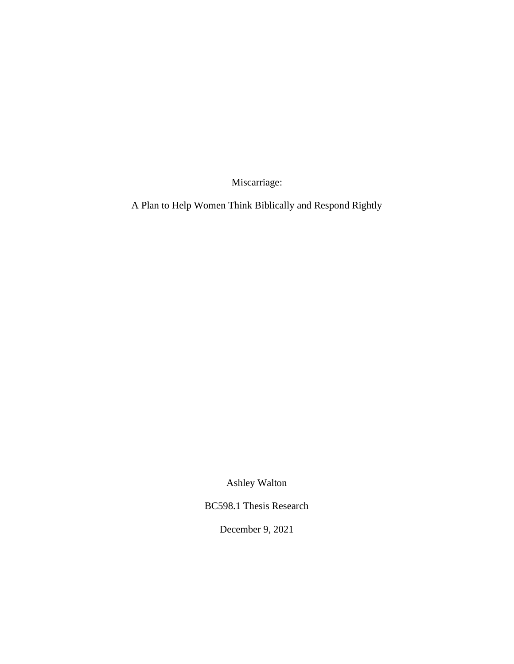Miscarriage:

A Plan to Help Women Think Biblically and Respond Rightly

Ashley Walton

BC598.1 Thesis Research

December 9, 2021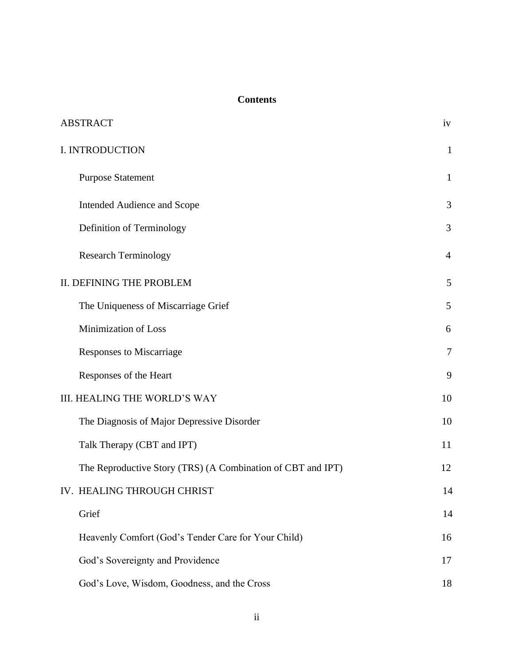# **Contents**

| <b>ABSTRACT</b>                                             | iv             |
|-------------------------------------------------------------|----------------|
| I. INTRODUCTION                                             | $\mathbf{1}$   |
| <b>Purpose Statement</b>                                    | $\mathbf{1}$   |
| <b>Intended Audience and Scope</b>                          | 3              |
| Definition of Terminology                                   | 3              |
| <b>Research Terminology</b>                                 | $\overline{4}$ |
| II. DEFINING THE PROBLEM                                    | 5              |
| The Uniqueness of Miscarriage Grief                         | 5              |
| Minimization of Loss                                        | 6              |
| <b>Responses to Miscarriage</b>                             | $\overline{7}$ |
| Responses of the Heart                                      | 9              |
| <b>III. HEALING THE WORLD'S WAY</b>                         | 10             |
| The Diagnosis of Major Depressive Disorder                  | 10             |
| Talk Therapy (CBT and IPT)                                  | 11             |
| The Reproductive Story (TRS) (A Combination of CBT and IPT) | 12             |
| IV. HEALING THROUGH CHRIST                                  | 14             |
| Grief                                                       | 14             |
| Heavenly Comfort (God's Tender Care for Your Child)         | 16             |
| God's Sovereignty and Providence                            | 17             |
| God's Love, Wisdom, Goodness, and the Cross                 | 18             |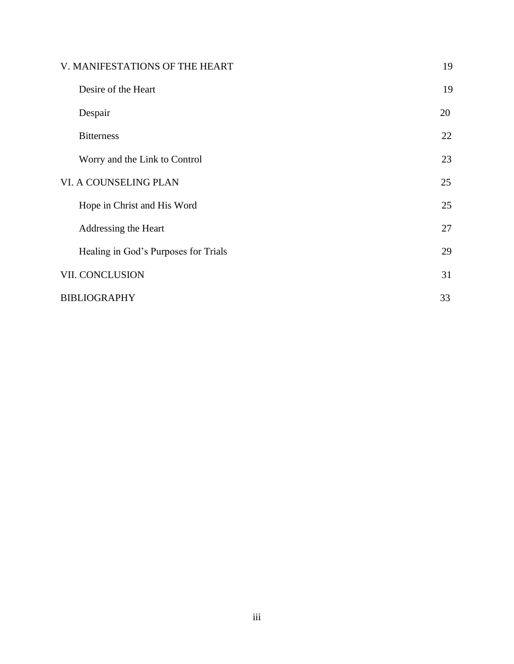| V. MANIFESTATIONS OF THE HEART       | 19 |
|--------------------------------------|----|
| Desire of the Heart                  | 19 |
| Despair                              | 20 |
| <b>Bitterness</b>                    | 22 |
| Worry and the Link to Control        | 23 |
| VI. A COUNSELING PLAN                | 25 |
| Hope in Christ and His Word          | 25 |
| Addressing the Heart                 | 27 |
| Healing in God's Purposes for Trials | 29 |
| VII. CONCLUSION                      | 31 |
| <b>BIBLIOGRAPHY</b>                  | 33 |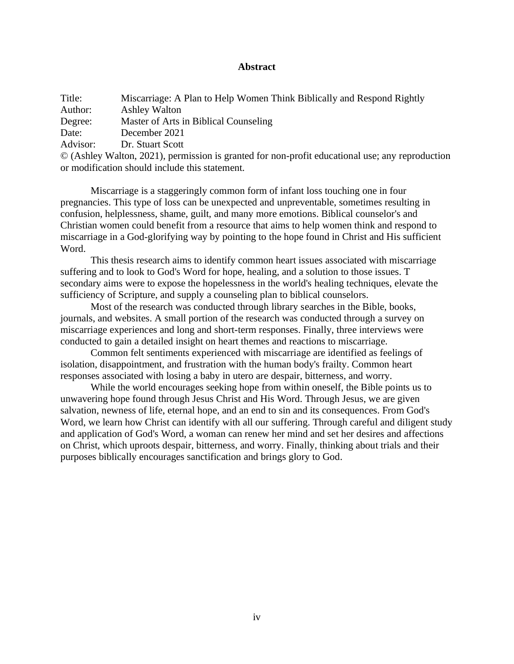## **Abstract**

| Title:   | Miscarriage: A Plan to Help Women Think Biblically and Respond Rightly                                |
|----------|-------------------------------------------------------------------------------------------------------|
| Author:  | <b>Ashley Walton</b>                                                                                  |
| Degree:  | Master of Arts in Biblical Counseling                                                                 |
| Date:    | December 2021                                                                                         |
| Advisor: | Dr. Stuart Scott                                                                                      |
|          | $\odot$ (Ashley Walton, 2021), permission is granted for non-profit educational use; any reproduction |

or modification should include this statement.

Miscarriage is a staggeringly common form of infant loss touching one in four pregnancies. This type of loss can be unexpected and unpreventable, sometimes resulting in confusion, helplessness, shame, guilt, and many more emotions. Biblical counselor's and Christian women could benefit from a resource that aims to help women think and respond to miscarriage in a God-glorifying way by pointing to the hope found in Christ and His sufficient Word.

This thesis research aims to identify common heart issues associated with miscarriage suffering and to look to God's Word for hope, healing, and a solution to those issues. T secondary aims were to expose the hopelessness in the world's healing techniques, elevate the sufficiency of Scripture, and supply a counseling plan to biblical counselors.

Most of the research was conducted through library searches in the Bible, books, journals, and websites. A small portion of the research was conducted through a survey on miscarriage experiences and long and short-term responses. Finally, three interviews were conducted to gain a detailed insight on heart themes and reactions to miscarriage.

Common felt sentiments experienced with miscarriage are identified as feelings of isolation, disappointment, and frustration with the human body's frailty. Common heart responses associated with losing a baby in utero are despair, bitterness, and worry.

While the world encourages seeking hope from within oneself, the Bible points us to unwavering hope found through Jesus Christ and His Word. Through Jesus, we are given salvation, newness of life, eternal hope, and an end to sin and its consequences. From God's Word, we learn how Christ can identify with all our suffering. Through careful and diligent study and application of God's Word, a woman can renew her mind and set her desires and affections on Christ, which uproots despair, bitterness, and worry. Finally, thinking about trials and their purposes biblically encourages sanctification and brings glory to God.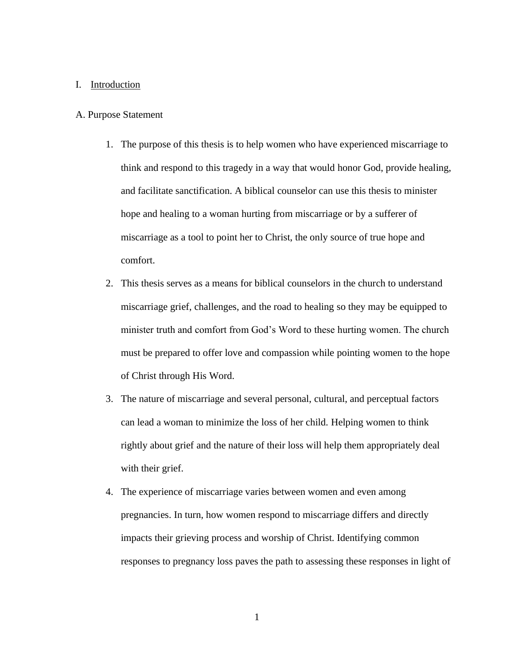#### I. Introduction

#### A. Purpose Statement

- 1. The purpose of this thesis is to help women who have experienced miscarriage to think and respond to this tragedy in a way that would honor God, provide healing, and facilitate sanctification. A biblical counselor can use this thesis to minister hope and healing to a woman hurting from miscarriage or by a sufferer of miscarriage as a tool to point her to Christ, the only source of true hope and comfort.
- 2. This thesis serves as a means for biblical counselors in the church to understand miscarriage grief, challenges, and the road to healing so they may be equipped to minister truth and comfort from God's Word to these hurting women. The church must be prepared to offer love and compassion while pointing women to the hope of Christ through His Word.
- 3. The nature of miscarriage and several personal, cultural, and perceptual factors can lead a woman to minimize the loss of her child. Helping women to think rightly about grief and the nature of their loss will help them appropriately deal with their grief.
- 4. The experience of miscarriage varies between women and even among pregnancies. In turn, how women respond to miscarriage differs and directly impacts their grieving process and worship of Christ. Identifying common responses to pregnancy loss paves the path to assessing these responses in light of

1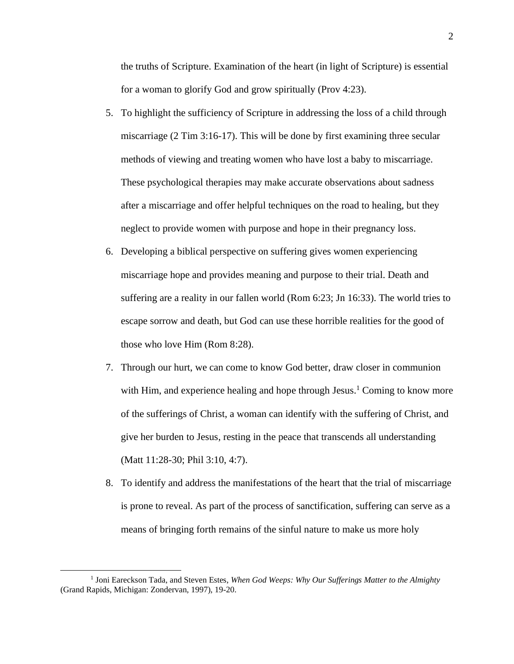the truths of Scripture. Examination of the heart (in light of Scripture) is essential for a woman to glorify God and grow spiritually (Prov 4:23).

- 5. To highlight the sufficiency of Scripture in addressing the loss of a child through miscarriage (2 Tim 3:16-17). This will be done by first examining three secular methods of viewing and treating women who have lost a baby to miscarriage. These psychological therapies may make accurate observations about sadness after a miscarriage and offer helpful techniques on the road to healing, but they neglect to provide women with purpose and hope in their pregnancy loss.
- 6. Developing a biblical perspective on suffering gives women experiencing miscarriage hope and provides meaning and purpose to their trial. Death and suffering are a reality in our fallen world (Rom 6:23; Jn 16:33). The world tries to escape sorrow and death, but God can use these horrible realities for the good of those who love Him (Rom 8:28).
- 7. Through our hurt, we can come to know God better, draw closer in communion with Him, and experience healing and hope through Jesus.<sup>1</sup> Coming to know more of the sufferings of Christ, a woman can identify with the suffering of Christ, and give her burden to Jesus, resting in the peace that transcends all understanding (Matt 11:28-30; Phil 3:10, 4:7).
- 8. To identify and address the manifestations of the heart that the trial of miscarriage is prone to reveal. As part of the process of sanctification, suffering can serve as a means of bringing forth remains of the sinful nature to make us more holy

<sup>&</sup>lt;sup>1</sup> Joni Eareckson Tada, and Steven Estes, When God Weeps: Why Our Sufferings Matter to the Almighty (Grand Rapids, Michigan: Zondervan, 1997), 19-20.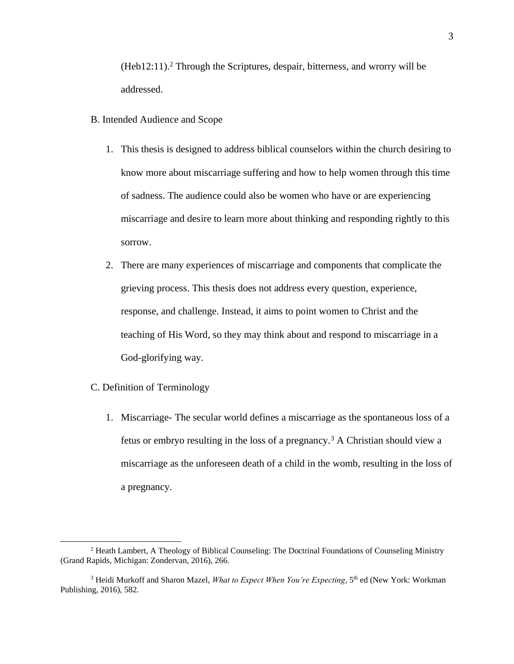$(Heb12:11).$ <sup>2</sup> Through the Scriptures, despair, bitterness, and wrorry will be addressed.

- B. Intended Audience and Scope
	- 1. This thesis is designed to address biblical counselors within the church desiring to know more about miscarriage suffering and how to help women through this time of sadness. The audience could also be women who have or are experiencing miscarriage and desire to learn more about thinking and responding rightly to this sorrow.
	- 2. There are many experiences of miscarriage and components that complicate the grieving process. This thesis does not address every question, experience, response, and challenge. Instead, it aims to point women to Christ and the teaching of His Word, so they may think about and respond to miscarriage in a God-glorifying way.
- C. Definition of Terminology
	- 1. Miscarriage- The secular world defines a miscarriage as the spontaneous loss of a fetus or embryo resulting in the loss of a pregnancy.<sup>3</sup> A Christian should view a miscarriage as the unforeseen death of a child in the womb, resulting in the loss of a pregnancy.

<sup>2</sup> Heath Lambert, A Theology of Biblical Counseling: The Doctrinal Foundations of Counseling Ministry (Grand Rapids, Michigan: Zondervan, 2016), 266.

<sup>&</sup>lt;sup>3</sup> Heidi Murkoff and Sharon Mazel, *What to Expect When You're Expecting*, 5<sup>th</sup> ed (New York: Workman Publishing, 2016), 582.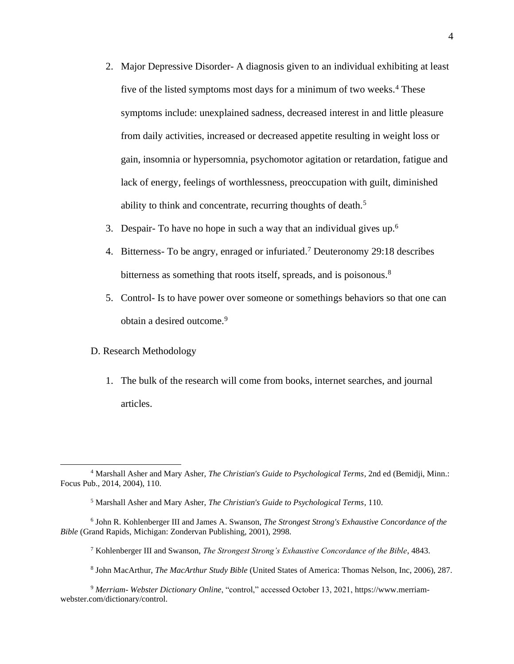- 2. Major Depressive Disorder- A diagnosis given to an individual exhibiting at least five of the listed symptoms most days for a minimum of two weeks.<sup>4</sup> These symptoms include: unexplained sadness, decreased interest in and little pleasure from daily activities, increased or decreased appetite resulting in weight loss or gain, insomnia or hypersomnia, psychomotor agitation or retardation, fatigue and lack of energy, feelings of worthlessness, preoccupation with guilt, diminished ability to think and concentrate, recurring thoughts of death.<sup>5</sup>
- 3. Despair- To have no hope in such a way that an individual gives up.<sup>6</sup>
- 4. Bitterness- To be angry, enraged or infuriated. <sup>7</sup> Deuteronomy 29:18 describes bitterness as something that roots itself, spreads, and is poisonous.<sup>8</sup>
- 5. Control- Is to have power over someone or somethings behaviors so that one can obtain a desired outcome.<sup>9</sup>

## D. Research Methodology

1. The bulk of the research will come from books, internet searches, and journal articles.

<sup>4</sup> Marshall Asher and Mary Asher, *The Christian's Guide to Psychological Terms*, 2nd ed (Bemidji, Minn.: Focus Pub., 2014, 2004), 110.

<sup>5</sup> Marshall Asher and Mary Asher, *The Christian's Guide to Psychological Terms*, 110.

<sup>6</sup> John R. Kohlenberger III and James A. Swanson, *The Strongest Strong's Exhaustive Concordance of the Bible* (Grand Rapids, Michigan: Zondervan Publishing, 2001), 2998.

<sup>7</sup> Kohlenberger III and Swanson, *The Strongest Strong's Exhaustive Concordance of the Bible*, 4843.

<sup>8</sup> John MacArthur, *The MacArthur Study Bible* (United States of America: Thomas Nelson, Inc, 2006), 287.

<sup>9</sup> *Merriam- Webster Dictionary Online*, "control," accessed October 13, 2021, https://www.merriamwebster.com/dictionary/control.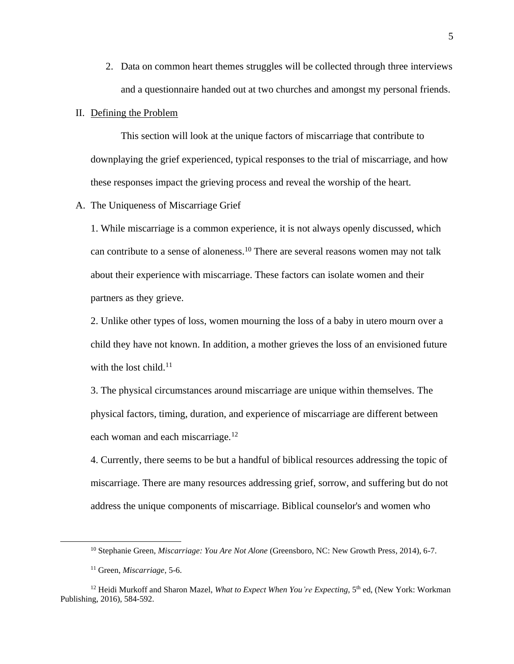2. Data on common heart themes struggles will be collected through three interviews and a questionnaire handed out at two churches and amongst my personal friends.

### II. Defining the Problem

This section will look at the unique factors of miscarriage that contribute to downplaying the grief experienced, typical responses to the trial of miscarriage, and how these responses impact the grieving process and reveal the worship of the heart.

#### A. The Uniqueness of Miscarriage Grief

1. While miscarriage is a common experience, it is not always openly discussed, which can contribute to a sense of aloneness.<sup>10</sup> There are several reasons women may not talk about their experience with miscarriage. These factors can isolate women and their partners as they grieve.

2. Unlike other types of loss, women mourning the loss of a baby in utero mourn over a child they have not known. In addition, a mother grieves the loss of an envisioned future with the lost child.<sup>11</sup>

3. The physical circumstances around miscarriage are unique within themselves. The physical factors, timing, duration, and experience of miscarriage are different between each woman and each miscarriage.<sup>12</sup>

4. Currently, there seems to be but a handful of biblical resources addressing the topic of miscarriage. There are many resources addressing grief, sorrow, and suffering but do not address the unique components of miscarriage. Biblical counselor's and women who

<sup>10</sup> Stephanie Green, *Miscarriage: You Are Not Alone* (Greensboro, NC: New Growth Press, 2014), 6-7.

<sup>11</sup> Green, *Miscarriage*, 5-6.

<sup>&</sup>lt;sup>12</sup> Heidi Murkoff and Sharon Mazel, *What to Expect When You're Expecting*, 5<sup>th</sup> ed, (New York: Workman Publishing, 2016), 584-592.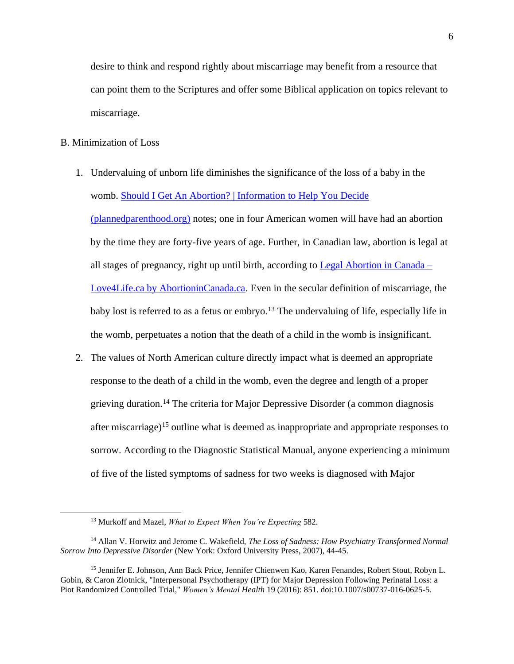desire to think and respond rightly about miscarriage may benefit from a resource that can point them to the Scriptures and offer some Biblical application on topics relevant to miscarriage.

## B. Minimization of Loss

- 1. Undervaluing of unborn life diminishes the significance of the loss of a baby in the womb. [Should I Get An Abortion? | Information to Help You Decide](https://www.plannedparenthood.org/learn/abortion/considering-abortion)  [\(plannedparenthood.org\)](https://www.plannedparenthood.org/learn/abortion/considering-abortion) notes; one in four American women will have had an abortion by the time they are forty-five years of age. Further, in Canadian law, abortion is legal at all stages of pregnancy, right up until birth, according to [Legal Abortion in Canada –](https://abortionincanada.ca/history/legal-abortion-in-canada/) [Love4Life.ca by AbortioninCanada.ca.](https://abortionincanada.ca/history/legal-abortion-in-canada/) Even in the secular definition of miscarriage, the baby lost is referred to as a fetus or embryo.<sup>13</sup> The undervaluing of life, especially life in the womb, perpetuates a notion that the death of a child in the womb is insignificant.
- 2. The values of North American culture directly impact what is deemed an appropriate response to the death of a child in the womb, even the degree and length of a proper grieving duration.<sup>14</sup> The criteria for Major Depressive Disorder (a common diagnosis after miscarriage)<sup>15</sup> outline what is deemed as inappropriate and appropriate responses to sorrow. According to the Diagnostic Statistical Manual, anyone experiencing a minimum of five of the listed symptoms of sadness for two weeks is diagnosed with Major

<sup>13</sup> Murkoff and Mazel, *What to Expect When You're Expecting* 582.

<sup>14</sup> Allan V. Horwitz and Jerome C. Wakefield, *The Loss of Sadness: How Psychiatry Transformed Normal Sorrow Into Depressive Disorder* (New York: Oxford University Press, 2007), 44-45.

<sup>15</sup> Jennifer E. Johnson, Ann Back Price, Jennifer Chienwen Kao, Karen Fenandes, Robert Stout, Robyn L. Gobin, & Caron Zlotnick, "Interpersonal Psychotherapy (IPT) for Major Depression Following Perinatal Loss: a Piot Randomized Controlled Trial," *Women's Mental Health* 19 (2016): 851. doi:10.1007/s00737-016-0625-5.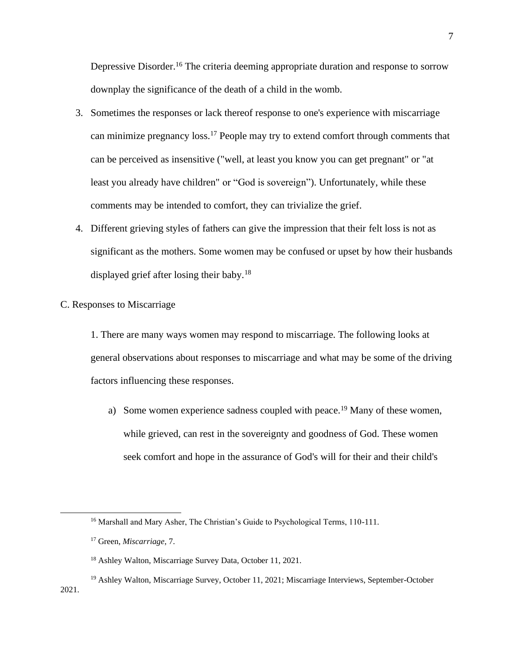Depressive Disorder.<sup>16</sup> The criteria deeming appropriate duration and response to sorrow downplay the significance of the death of a child in the womb.

- 3. Sometimes the responses or lack thereof response to one's experience with miscarriage can minimize pregnancy loss.<sup>17</sup> People may try to extend comfort through comments that can be perceived as insensitive ("well, at least you know you can get pregnant" or "at least you already have children" or "God is sovereign"). Unfortunately, while these comments may be intended to comfort, they can trivialize the grief.
- 4. Different grieving styles of fathers can give the impression that their felt loss is not as significant as the mothers. Some women may be confused or upset by how their husbands displayed grief after losing their baby.<sup>18</sup>

# C. Responses to Miscarriage

1. There are many ways women may respond to miscarriage. The following looks at general observations about responses to miscarriage and what may be some of the driving factors influencing these responses.

a) Some women experience sadness coupled with peace.<sup>19</sup> Many of these women, while grieved, can rest in the sovereignty and goodness of God. These women seek comfort and hope in the assurance of God's will for their and their child's

<sup>&</sup>lt;sup>16</sup> Marshall and Mary Asher, The Christian's Guide to Psychological Terms, 110-111.

<sup>17</sup> Green, *Miscarriage*, 7.

<sup>18</sup> Ashley Walton, Miscarriage Survey Data, October 11, 2021.

<sup>&</sup>lt;sup>19</sup> Ashley Walton, Miscarriage Survey, October 11, 2021; Miscarriage Interviews, September-October 2021.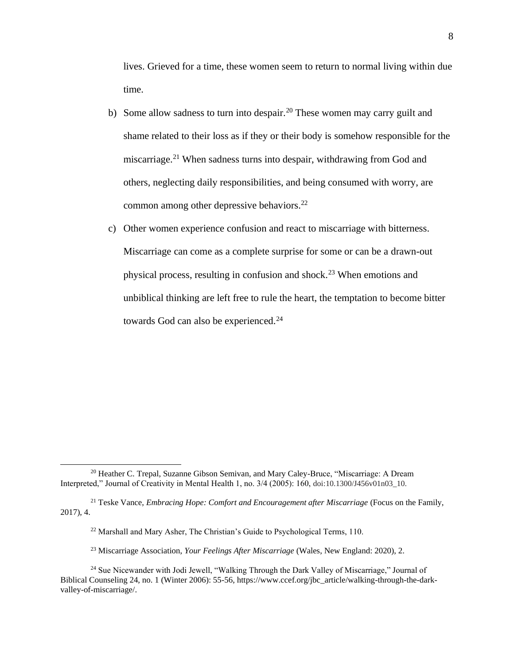lives. Grieved for a time, these women seem to return to normal living within due time.

- b) Some allow sadness to turn into despair.<sup>20</sup> These women may carry guilt and shame related to their loss as if they or their body is somehow responsible for the miscarriage.<sup>21</sup> When sadness turns into despair, withdrawing from God and others, neglecting daily responsibilities, and being consumed with worry, are common among other depressive behaviors.<sup>22</sup>
- c) Other women experience confusion and react to miscarriage with bitterness. Miscarriage can come as a complete surprise for some or can be a drawn-out physical process, resulting in confusion and shock.<sup>23</sup> When emotions and unbiblical thinking are left free to rule the heart, the temptation to become bitter towards God can also be experienced.<sup>24</sup>

<sup>&</sup>lt;sup>20</sup> Heather C. Trepal, Suzanne Gibson Semivan, and Mary Caley-Bruce, "Miscarriage: A Dream Interpreted," Journal of Creativity in Mental Health 1, no. 3/4 (2005): 160, doi:10.1300/J456v01n03\_10.

<sup>&</sup>lt;sup>21</sup> Teske Vance, *Embracing Hope: Comfort and Encouragement after Miscarriage* (Focus on the Family, 2017), 4.

<sup>&</sup>lt;sup>22</sup> Marshall and Mary Asher, The Christian's Guide to Psychological Terms, 110.

<sup>23</sup> Miscarriage Association, *Your Feelings After Miscarriage* (Wales, New England: 2020), 2.

<sup>&</sup>lt;sup>24</sup> Sue Nicewander with Jodi Jewell, "Walking Through the Dark Valley of Miscarriage," Journal of Biblical Counseling 24, no. 1 (Winter 2006): 55-56, https://www.ccef.org/jbc\_article/walking-through-the-darkvalley-of-miscarriage/.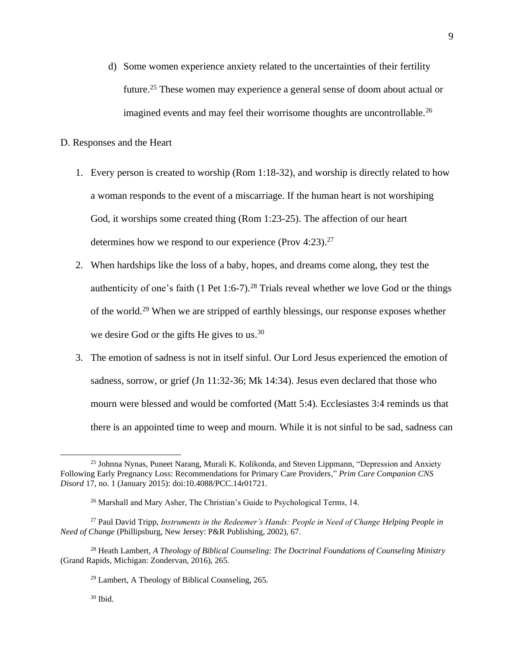- d) Some women experience anxiety related to the uncertainties of their fertility future. <sup>25</sup> These women may experience a general sense of doom about actual or imagined events and may feel their worrisome thoughts are uncontrollable.<sup>26</sup>
- D. Responses and the Heart
	- 1. Every person is created to worship (Rom 1:18-32), and worship is directly related to how a woman responds to the event of a miscarriage. If the human heart is not worshiping God, it worships some created thing (Rom 1:23-25). The affection of our heart determines how we respond to our experience (Prov 4:23).<sup>27</sup>
	- 2. When hardships like the loss of a baby, hopes, and dreams come along, they test the authenticity of one's faith  $(1$  Pet 1:6-7).<sup>28</sup> Trials reveal whether we love God or the things of the world.<sup>29</sup> When we are stripped of earthly blessings, our response exposes whether we desire God or the gifts He gives to us.<sup>30</sup>
	- 3. The emotion of sadness is not in itself sinful. Our Lord Jesus experienced the emotion of sadness, sorrow, or grief (Jn 11:32-36; Mk 14:34). Jesus even declared that those who mourn were blessed and would be comforted (Matt 5:4). Ecclesiastes 3:4 reminds us that there is an appointed time to weep and mourn. While it is not sinful to be sad, sadness can

<sup>&</sup>lt;sup>25</sup> Johnna Nynas, Puneet Narang, Murali K. Kolikonda, and Steven Lippmann, "Depression and Anxiety Following Early Pregnancy Loss: Recommendations for Primary Care Providers," *Prim Care Companion CNS Disord* 17, no. 1 (January 2015): doi:10.4088/PCC.14r01721.

<sup>26</sup> Marshall and Mary Asher, The Christian's Guide to Psychological Terms, 14.

<sup>27</sup> Paul David Tripp, *Instruments in the Redeemer's Hands: People in Need of Change Helping People in Need of Change* (Phillipsburg, New Jersey: P&R Publishing, 2002), 67.

<sup>28</sup> Heath Lambert, *A Theology of Biblical Counseling: The Doctrinal Foundations of Counseling Ministry*  (Grand Rapids, Michigan: Zondervan, 2016), 265.

 $29$  Lambert, A Theology of Biblical Counseling, 265.

<sup>30</sup> Ibid.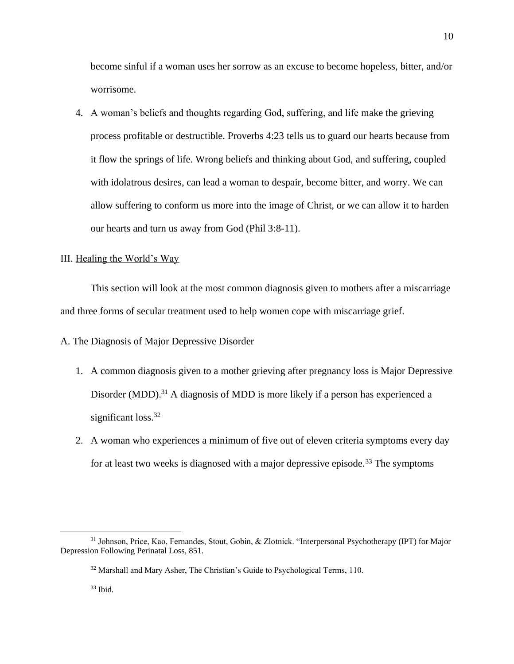become sinful if a woman uses her sorrow as an excuse to become hopeless, bitter, and/or worrisome.

4. A woman's beliefs and thoughts regarding God, suffering, and life make the grieving process profitable or destructible. Proverbs 4:23 tells us to guard our hearts because from it flow the springs of life. Wrong beliefs and thinking about God, and suffering, coupled with idolatrous desires, can lead a woman to despair, become bitter, and worry. We can allow suffering to conform us more into the image of Christ, or we can allow it to harden our hearts and turn us away from God (Phil 3:8-11).

# III. Healing the World's Way

This section will look at the most common diagnosis given to mothers after a miscarriage and three forms of secular treatment used to help women cope with miscarriage grief.

A. The Diagnosis of Major Depressive Disorder

- 1. A common diagnosis given to a mother grieving after pregnancy loss is Major Depressive Disorder (MDD).<sup>31</sup> A diagnosis of MDD is more likely if a person has experienced a significant loss.<sup>32</sup>
- 2. A woman who experiences a minimum of five out of eleven criteria symptoms every day for at least two weeks is diagnosed with a major depressive episode.<sup>33</sup> The symptoms

<sup>31</sup> Johnson, Price, Kao, Fernandes, Stout, Gobin, & Zlotnick. "Interpersonal Psychotherapy (IPT) for Major Depression Following Perinatal Loss, 851.

<sup>32</sup> Marshall and Mary Asher, The Christian's Guide to Psychological Terms, 110.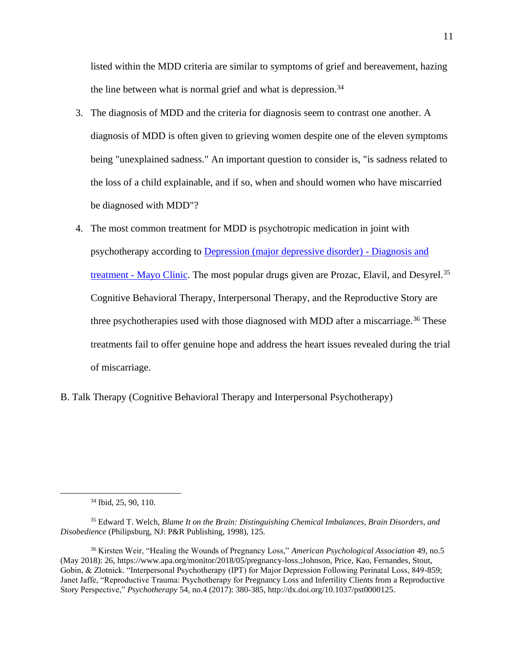listed within the MDD criteria are similar to symptoms of grief and bereavement, hazing the line between what is normal grief and what is depression.<sup>34</sup>

- 3. The diagnosis of MDD and the criteria for diagnosis seem to contrast one another. A diagnosis of MDD is often given to grieving women despite one of the eleven symptoms being "unexplained sadness." An important question to consider is, "is sadness related to the loss of a child explainable, and if so, when and should women who have miscarried be diagnosed with MDD"?
- 4. The most common treatment for MDD is psychotropic medication in joint with psychotherapy according to [Depression \(major depressive disorder\) -](https://www.mayoclinic.org/diseases-conditions/depression/diagnosis-treatment/drc-20356013) Diagnosis and treatment - [Mayo Clinic.](https://www.mayoclinic.org/diseases-conditions/depression/diagnosis-treatment/drc-20356013) The most popular drugs given are Prozac, Elavil, and Desyrel.<sup>35</sup> Cognitive Behavioral Therapy, Interpersonal Therapy, and the Reproductive Story are three psychotherapies used with those diagnosed with MDD after a miscarriage.<sup>36</sup> These treatments fail to offer genuine hope and address the heart issues revealed during the trial of miscarriage.
- B. Talk Therapy (Cognitive Behavioral Therapy and Interpersonal Psychotherapy)

<sup>34</sup> Ibid, 25, 90, 110.

<sup>35</sup> Edward T. Welch, *Blame It on the Brain: Distinguishing Chemical Imbalances, Brain Disorders, and Disobedience* (Philipsburg, NJ: P&R Publishing, 1998), 125.

<sup>36</sup> Kirsten Weir, "Healing the Wounds of Pregnancy Loss," *American Psychological Association* 49, no.5 (May 2018): 26, https://www.apa.org/monitor/2018/05/pregnancy-loss.;Johnson, Price, Kao, Fernandes, Stout, Gobin, & Zlotnick. "Interpersonal Psychotherapy (IPT) for Major Depression Following Perinatal Loss, 849-859; Janet Jaffe, "Reproductive Trauma: Psychotherapy for Pregnancy Loss and Infertility Clients from a Reproductive Story Perspective," *Psychotherapy* 54, no.4 (2017): 380-385, http://dx.doi.org/10.1037/pst0000125.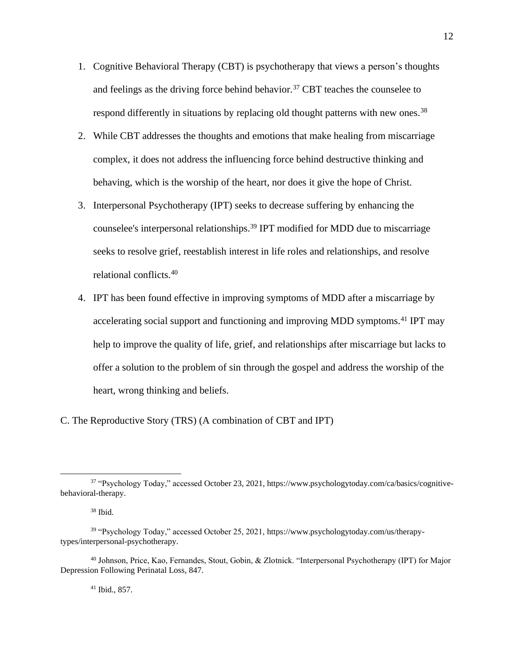- 1. Cognitive Behavioral Therapy (CBT) is psychotherapy that views a person's thoughts and feelings as the driving force behind behavior.<sup>37</sup> CBT teaches the counselee to respond differently in situations by replacing old thought patterns with new ones.<sup>38</sup>
- 2. While CBT addresses the thoughts and emotions that make healing from miscarriage complex, it does not address the influencing force behind destructive thinking and behaving, which is the worship of the heart, nor does it give the hope of Christ.
- 3. Interpersonal Psychotherapy (IPT) seeks to decrease suffering by enhancing the counselee's interpersonal relationships.<sup>39</sup> IPT modified for MDD due to miscarriage seeks to resolve grief, reestablish interest in life roles and relationships, and resolve relational conflicts.<sup>40</sup>
- 4. IPT has been found effective in improving symptoms of MDD after a miscarriage by accelerating social support and functioning and improving MDD symptoms.<sup>41</sup> IPT may help to improve the quality of life, grief, and relationships after miscarriage but lacks to offer a solution to the problem of sin through the gospel and address the worship of the heart, wrong thinking and beliefs.

C. The Reproductive Story (TRS) (A combination of CBT and IPT)

<sup>41</sup> Ibid., 857.

<sup>37</sup> "Psychology Today," accessed October 23, 2021, https://www.psychologytoday.com/ca/basics/cognitivebehavioral-therapy.

 $38$  Ibid.

<sup>39</sup> "Psychology Today," accessed October 25, 2021, https://www.psychologytoday.com/us/therapytypes/interpersonal-psychotherapy.

<sup>40</sup> Johnson, Price, Kao, Fernandes, Stout, Gobin, & Zlotnick. "Interpersonal Psychotherapy (IPT) for Major Depression Following Perinatal Loss, 847.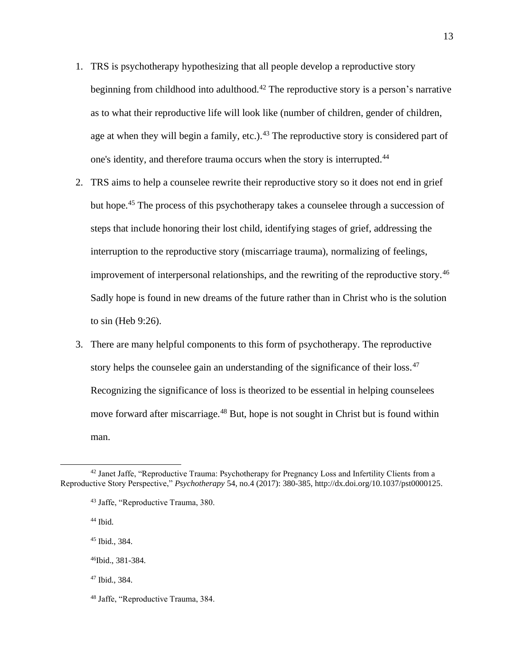- 1. TRS is psychotherapy hypothesizing that all people develop a reproductive story beginning from childhood into adulthood.<sup>42</sup> The reproductive story is a person's narrative as to what their reproductive life will look like (number of children, gender of children, age at when they will begin a family, etc.).<sup>43</sup> The reproductive story is considered part of one's identity, and therefore trauma occurs when the story is interrupted.<sup>44</sup>
- 2. TRS aims to help a counselee rewrite their reproductive story so it does not end in grief but hope.<sup>45</sup> The process of this psychotherapy takes a counselee through a succession of steps that include honoring their lost child, identifying stages of grief, addressing the interruption to the reproductive story (miscarriage trauma), normalizing of feelings, improvement of interpersonal relationships, and the rewriting of the reproductive story.<sup>46</sup> Sadly hope is found in new dreams of the future rather than in Christ who is the solution to sin (Heb 9:26).
- 3. There are many helpful components to this form of psychotherapy. The reproductive story helps the counselee gain an understanding of the significance of their loss.<sup>47</sup> Recognizing the significance of loss is theorized to be essential in helping counselees move forward after miscarriage.<sup>48</sup> But, hope is not sought in Christ but is found within man.

<sup>44</sup> Ibid.

<sup>45</sup> Ibid., 384.

<sup>47</sup> Ibid., 384.

<sup>&</sup>lt;sup>42</sup> Janet Jaffe, "Reproductive Trauma: Psychotherapy for Pregnancy Loss and Infertility Clients from a Reproductive Story Perspective," *Psychotherapy* 54, no.4 (2017): 380-385, http://dx.doi.org/10.1037/pst0000125.

<sup>43</sup> Jaffe, "Reproductive Trauma, 380.

<sup>46</sup>Ibid., 381-384.

<sup>48</sup> Jaffe, "Reproductive Trauma, 384.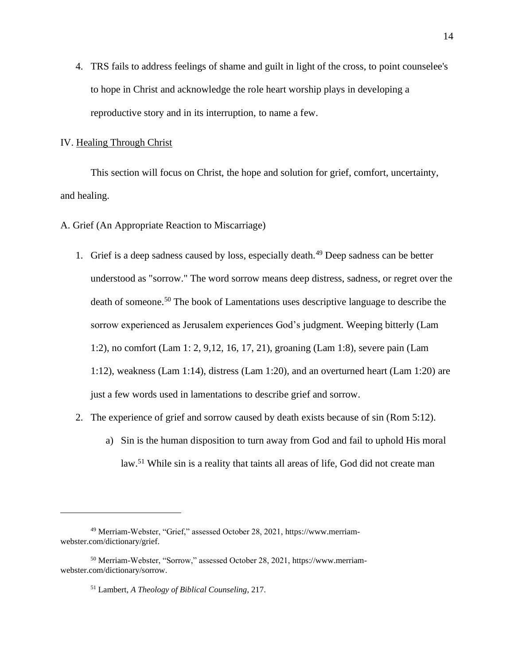4. TRS fails to address feelings of shame and guilt in light of the cross, to point counselee's to hope in Christ and acknowledge the role heart worship plays in developing a reproductive story and in its interruption, to name a few.

## IV. Healing Through Christ

This section will focus on Christ, the hope and solution for grief, comfort, uncertainty, and healing.

A. Grief (An Appropriate Reaction to Miscarriage)

- 1. Grief is a deep sadness caused by loss, especially death.<sup>49</sup> Deep sadness can be better understood as "sorrow." The word sorrow means deep distress, sadness, or regret over the death of someone.<sup>50</sup> The book of Lamentations uses descriptive language to describe the sorrow experienced as Jerusalem experiences God's judgment. Weeping bitterly (Lam 1:2), no comfort (Lam 1: 2, 9,12, 16, 17, 21), groaning (Lam 1:8), severe pain (Lam 1:12), weakness (Lam 1:14), distress (Lam 1:20), and an overturned heart (Lam 1:20) are just a few words used in lamentations to describe grief and sorrow.
- 2. The experience of grief and sorrow caused by death exists because of sin (Rom 5:12).
	- a) Sin is the human disposition to turn away from God and fail to uphold His moral law.<sup>51</sup> While sin is a reality that taints all areas of life, God did not create man

<sup>49</sup> Merriam-Webster, "Grief," assessed October 28, 2021, https://www.merriamwebster.com/dictionary/grief.

<sup>50</sup> Merriam-Webster, "Sorrow," assessed October 28, 2021, https://www.merriamwebster.com/dictionary/sorrow.

<sup>51</sup> Lambert, *A Theology of Biblical Counseling*, 217.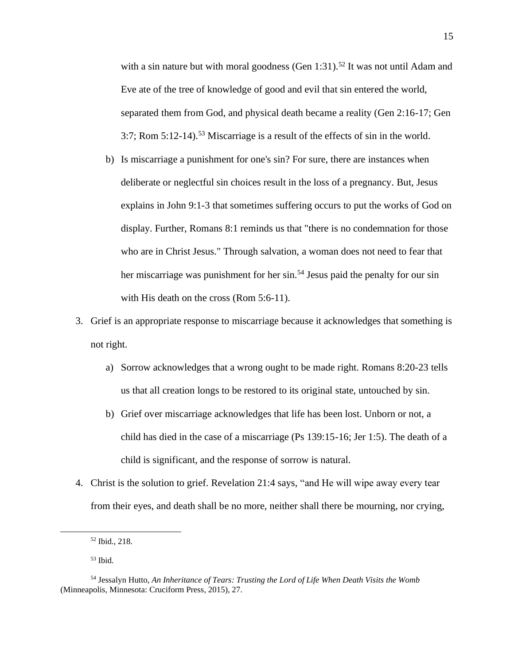with a sin nature but with moral goodness (Gen  $1:31$ ).<sup>52</sup> It was not until Adam and Eve ate of the tree of knowledge of good and evil that sin entered the world, separated them from God, and physical death became a reality (Gen 2:16-17; Gen  $3:7$ ; Rom  $5:12-14$ ).<sup>53</sup> Miscarriage is a result of the effects of sin in the world.

- b) Is miscarriage a punishment for one's sin? For sure, there are instances when deliberate or neglectful sin choices result in the loss of a pregnancy. But, Jesus explains in John 9:1-3 that sometimes suffering occurs to put the works of God on display. Further, Romans 8:1 reminds us that "there is no condemnation for those who are in Christ Jesus." Through salvation, a woman does not need to fear that her miscarriage was punishment for her sin.<sup>54</sup> Jesus paid the penalty for our sin with His death on the cross (Rom 5:6-11).
- 3. Grief is an appropriate response to miscarriage because it acknowledges that something is not right.
	- a) Sorrow acknowledges that a wrong ought to be made right. Romans 8:20-23 tells us that all creation longs to be restored to its original state, untouched by sin.
	- b) Grief over miscarriage acknowledges that life has been lost. Unborn or not, a child has died in the case of a miscarriage (Ps 139:15-16; Jer 1:5). The death of a child is significant, and the response of sorrow is natural.
- 4. Christ is the solution to grief. Revelation 21:4 says, "and He will wipe away every tear from their eyes, and death shall be no more, neither shall there be mourning, nor crying,

<sup>52</sup> Ibid., 218.

<sup>53</sup> Ibid.

<sup>54</sup> Jessalyn Hutto, *An Inheritance of Tears: Trusting the Lord of Life When Death Visits the Womb* (Minneapolis, Minnesota: Cruciform Press, 2015), 27.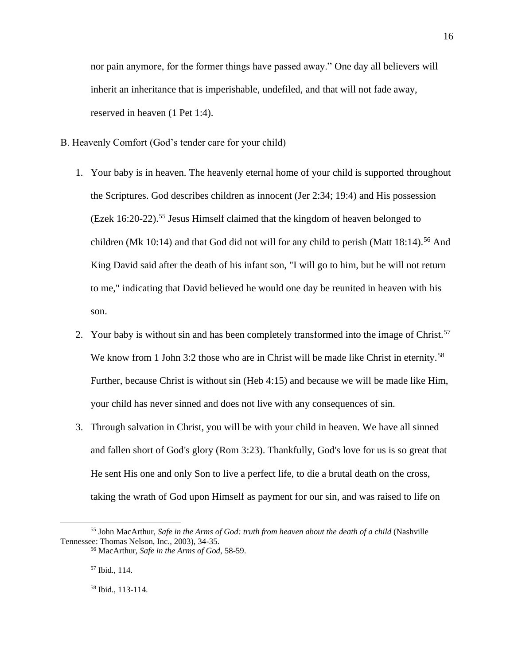nor pain anymore, for the former things have passed away." One day all believers will inherit an inheritance that is imperishable, undefiled, and that will not fade away, reserved in heaven (1 Pet 1:4).

- B. Heavenly Comfort (God's tender care for your child)
	- 1. Your baby is in heaven. The heavenly eternal home of your child is supported throughout the Scriptures. God describes children as innocent (Jer 2:34; 19:4) and His possession (Ezek 16:20-22).<sup>55</sup> Jesus Himself claimed that the kingdom of heaven belonged to children (Mk 10:14) and that God did not will for any child to perish (Matt  $18:14$ ).<sup>56</sup> And King David said after the death of his infant son, "I will go to him, but he will not return to me," indicating that David believed he would one day be reunited in heaven with his son.
	- 2. Your baby is without sin and has been completely transformed into the image of Christ.<sup>57</sup> We know from 1 John 3:2 those who are in Christ will be made like Christ in eternity.<sup>58</sup> Further, because Christ is without sin (Heb 4:15) and because we will be made like Him, your child has never sinned and does not live with any consequences of sin.
	- 3. Through salvation in Christ, you will be with your child in heaven. We have all sinned and fallen short of God's glory (Rom 3:23). Thankfully, God's love for us is so great that He sent His one and only Son to live a perfect life, to die a brutal death on the cross, taking the wrath of God upon Himself as payment for our sin, and was raised to life on

<sup>&</sup>lt;sup>55</sup> John MacArthur, *Safe in the Arms of God: truth from heaven about the death of a child* (Nashville Tennessee: Thomas Nelson, Inc., 2003), 34-35.

<sup>56</sup> MacArthur, *Safe in the Arms of God*, 58-59.

<sup>57</sup> Ibid., 114.

<sup>58</sup> Ibid., 113-114.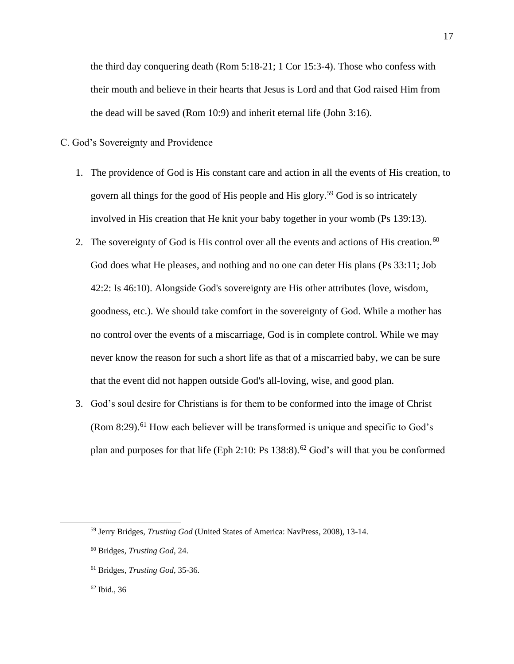the third day conquering death (Rom 5:18-21; 1 Cor 15:3-4). Those who confess with their mouth and believe in their hearts that Jesus is Lord and that God raised Him from the dead will be saved (Rom 10:9) and inherit eternal life (John 3:16).

## C. God's Sovereignty and Providence

- 1. The providence of God is His constant care and action in all the events of His creation, to govern all things for the good of His people and His glory.<sup>59</sup> God is so intricately involved in His creation that He knit your baby together in your womb (Ps 139:13).
- 2. The sovereignty of God is His control over all the events and actions of His creation.<sup>60</sup> God does what He pleases, and nothing and no one can deter His plans (Ps 33:11; Job 42:2: Is 46:10). Alongside God's sovereignty are His other attributes (love, wisdom, goodness, etc.). We should take comfort in the sovereignty of God. While a mother has no control over the events of a miscarriage, God is in complete control. While we may never know the reason for such a short life as that of a miscarried baby, we can be sure that the event did not happen outside God's all-loving, wise, and good plan.
- 3. God's soul desire for Christians is for them to be conformed into the image of Christ  $(Rom 8:29)$ .<sup>61</sup> How each believer will be transformed is unique and specific to God's plan and purposes for that life (Eph 2:10: Ps  $138:8$ ).<sup>62</sup> God's will that you be conformed

<sup>59</sup> Jerry Bridges, *Trusting God* (United States of America: NavPress, 2008), 13-14.

<sup>60</sup> Bridges, *Trusting God*, 24.

<sup>61</sup> Bridges, *Trusting God*, 35-36.

<sup>62</sup> Ibid., 36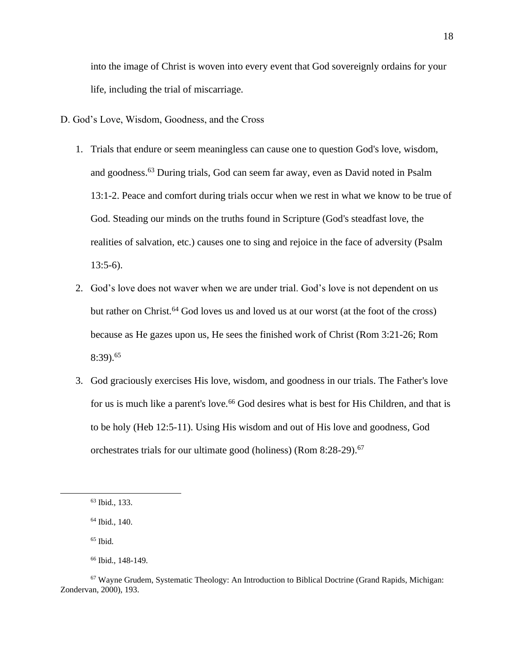into the image of Christ is woven into every event that God sovereignly ordains for your life, including the trial of miscarriage.

D. God's Love, Wisdom, Goodness, and the Cross

- 1. Trials that endure or seem meaningless can cause one to question God's love, wisdom, and goodness.<sup>63</sup> During trials, God can seem far away, even as David noted in Psalm 13:1-2. Peace and comfort during trials occur when we rest in what we know to be true of God. Steading our minds on the truths found in Scripture (God's steadfast love, the realities of salvation, etc.) causes one to sing and rejoice in the face of adversity (Psalm  $13:5-6$ ).
- 2. God's love does not waver when we are under trial. God's love is not dependent on us but rather on Christ.<sup>64</sup> God loves us and loved us at our worst (at the foot of the cross) because as He gazes upon us, He sees the finished work of Christ (Rom 3:21-26; Rom 8:39).<sup>65</sup>
- 3. God graciously exercises His love, wisdom, and goodness in our trials. The Father's love for us is much like a parent's love.<sup>66</sup> God desires what is best for His Children, and that is to be holy (Heb 12:5-11). Using His wisdom and out of His love and goodness, God orchestrates trials for our ultimate good (holiness) (Rom 8:28-29).<sup>67</sup>

<sup>63</sup> Ibid., 133.

<sup>64</sup> Ibid., 140.

 $65$  Ibid.

<sup>66</sup> Ibid., 148-149.

<sup>67</sup> Wayne Grudem, Systematic Theology: An Introduction to Biblical Doctrine (Grand Rapids, Michigan: Zondervan, 2000), 193.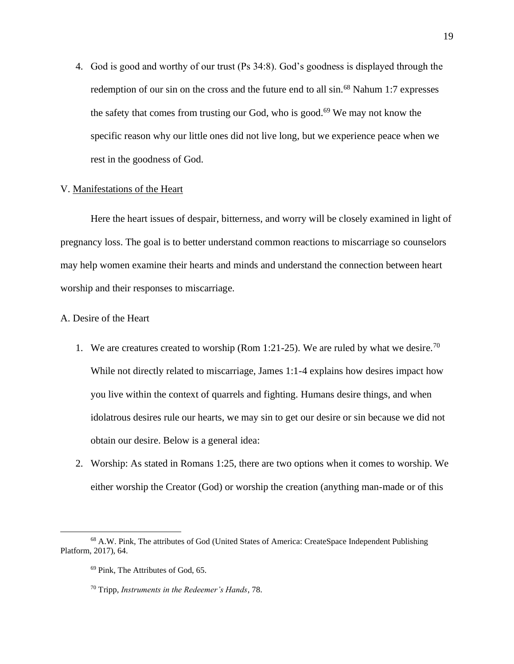4. God is good and worthy of our trust (Ps 34:8). God's goodness is displayed through the redemption of our sin on the cross and the future end to all sin.<sup>68</sup> Nahum 1:7 expresses the safety that comes from trusting our God, who is good.<sup>69</sup> We may not know the specific reason why our little ones did not live long, but we experience peace when we rest in the goodness of God.

# V. Manifestations of the Heart

Here the heart issues of despair, bitterness, and worry will be closely examined in light of pregnancy loss. The goal is to better understand common reactions to miscarriage so counselors may help women examine their hearts and minds and understand the connection between heart worship and their responses to miscarriage.

# A. Desire of the Heart

- 1. We are creatures created to worship (Rom 1:21-25). We are ruled by what we desire.<sup>70</sup> While not directly related to miscarriage, James 1:1-4 explains how desires impact how you live within the context of quarrels and fighting. Humans desire things, and when idolatrous desires rule our hearts, we may sin to get our desire or sin because we did not obtain our desire. Below is a general idea:
- 2. Worship: As stated in Romans 1:25, there are two options when it comes to worship. We either worship the Creator (God) or worship the creation (anything man-made or of this

<sup>68</sup> A.W. Pink, The attributes of God (United States of America: CreateSpace Independent Publishing Platform, 2017), 64.

<sup>69</sup> Pink, The Attributes of God, 65.

<sup>70</sup> Tripp, *Instruments in the Redeemer's Hands*, 78.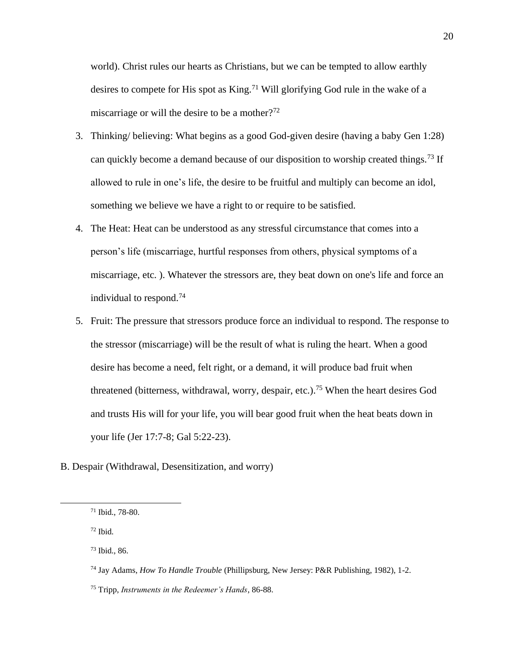world). Christ rules our hearts as Christians, but we can be tempted to allow earthly desires to compete for His spot as King.<sup>71</sup> Will glorifying God rule in the wake of a miscarriage or will the desire to be a mother?<sup>72</sup>

- 3. Thinking/ believing: What begins as a good God-given desire (having a baby Gen 1:28) can quickly become a demand because of our disposition to worship created things.<sup>73</sup> If allowed to rule in one's life, the desire to be fruitful and multiply can become an idol, something we believe we have a right to or require to be satisfied.
- 4. The Heat: Heat can be understood as any stressful circumstance that comes into a person's life (miscarriage, hurtful responses from others, physical symptoms of a miscarriage, etc. ). Whatever the stressors are, they beat down on one's life and force an individual to respond.<sup>74</sup>
- 5. Fruit: The pressure that stressors produce force an individual to respond. The response to the stressor (miscarriage) will be the result of what is ruling the heart. When a good desire has become a need, felt right, or a demand, it will produce bad fruit when threatened (bitterness, withdrawal, worry, despair, etc.). <sup>75</sup> When the heart desires God and trusts His will for your life, you will bear good fruit when the heat beats down in your life (Jer 17:7-8; Gal 5:22-23).
- B. Despair (Withdrawal, Desensitization, and worry)

- $72$  Ibid.
- <sup>73</sup> Ibid., 86.

<sup>71</sup> Ibid., 78-80.

<sup>74</sup> Jay Adams, *How To Handle Trouble* (Phillipsburg, New Jersey: P&R Publishing, 1982), 1-2.

<sup>75</sup> Tripp, *Instruments in the Redeemer's Hands*, 86-88.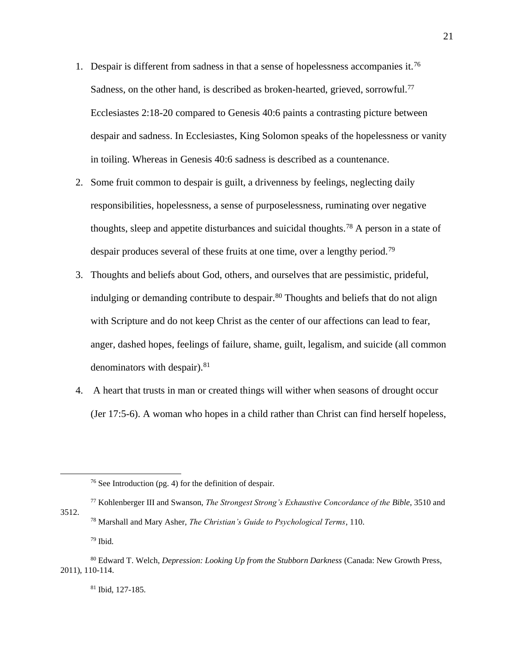- 1. Despair is different from sadness in that a sense of hopelessness accompanies it.<sup>76</sup> Sadness, on the other hand, is described as broken-hearted, grieved, sorrowful.<sup>77</sup> Ecclesiastes 2:18-20 compared to Genesis 40:6 paints a contrasting picture between despair and sadness. In Ecclesiastes, King Solomon speaks of the hopelessness or vanity in toiling. Whereas in Genesis 40:6 sadness is described as a countenance.
- 2. Some fruit common to despair is guilt, a drivenness by feelings, neglecting daily responsibilities, hopelessness, a sense of purposelessness, ruminating over negative thoughts, sleep and appetite disturbances and suicidal thoughts.<sup>78</sup> A person in a state of despair produces several of these fruits at one time, over a lengthy period.<sup>79</sup>
- 3. Thoughts and beliefs about God, others, and ourselves that are pessimistic, prideful, indulging or demanding contribute to despair.<sup>80</sup> Thoughts and beliefs that do not align with Scripture and do not keep Christ as the center of our affections can lead to fear, anger, dashed hopes, feelings of failure, shame, guilt, legalism, and suicide (all common denominators with despair).<sup>81</sup>
- 4. A heart that trusts in man or created things will wither when seasons of drought occur (Jer 17:5-6). A woman who hopes in a child rather than Christ can find herself hopeless,

<sup>77</sup> Kohlenberger III and Swanson, *The Strongest Strong's Exhaustive Concordance of the Bible*, 3510 and 3512. <sup>78</sup> Marshall and Mary Asher, *The Christian's Guide to Psychological Terms*, 110.

 $79$  Ibid.

<sup>81</sup> Ibid, 127-185.

<sup>76</sup> See Introduction (pg. 4) for the definition of despair.

<sup>80</sup> Edward T. Welch, *Depression: Looking Up from the Stubborn Darkness* (Canada: New Growth Press, 2011), 110-114.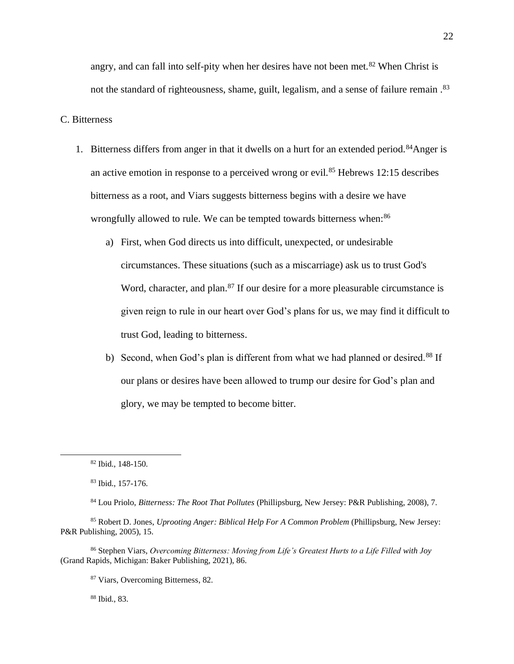angry, and can fall into self-pity when her desires have not been met. $82$  When Christ is not the standard of righteousness, shame, guilt, legalism, and a sense of failure remain.<sup>83</sup>

#### C. Bitterness

- 1. Bitterness differs from anger in that it dwells on a hurt for an extended period.<sup>84</sup>Anger is an active emotion in response to a perceived wrong or evil.<sup>85</sup> Hebrews 12:15 describes bitterness as a root, and Viars suggests bitterness begins with a desire we have wrongfully allowed to rule. We can be tempted towards bitterness when:<sup>86</sup>
	- a) First, when God directs us into difficult, unexpected, or undesirable circumstances. These situations (such as a miscarriage) ask us to trust God's Word, character, and plan.<sup>87</sup> If our desire for a more pleasurable circumstance is given reign to rule in our heart over God's plans for us, we may find it difficult to trust God, leading to bitterness.
	- b) Second, when God's plan is different from what we had planned or desired.<sup>88</sup> If our plans or desires have been allowed to trump our desire for God's plan and glory, we may be tempted to become bitter.

<sup>88</sup> Ibid., 83.

<sup>82</sup> Ibid., 148-150.

<sup>83</sup> Ibid., 157-176.

<sup>84</sup> Lou Priolo, *Bitterness: The Root That Pollutes* (Phillipsburg, New Jersey: P&R Publishing, 2008), 7.

<sup>85</sup> Robert D. Jones, *Uprooting Anger: Biblical Help For A Common Problem* (Phillipsburg, New Jersey: P&R Publishing, 2005), 15.

<sup>86</sup> Stephen Viars, *Overcoming Bitterness: Moving from Life's Greatest Hurts to a Life Filled with Joy* (Grand Rapids, Michigan: Baker Publishing, 2021), 86.

<sup>87</sup> Viars, Overcoming Bitterness, 82.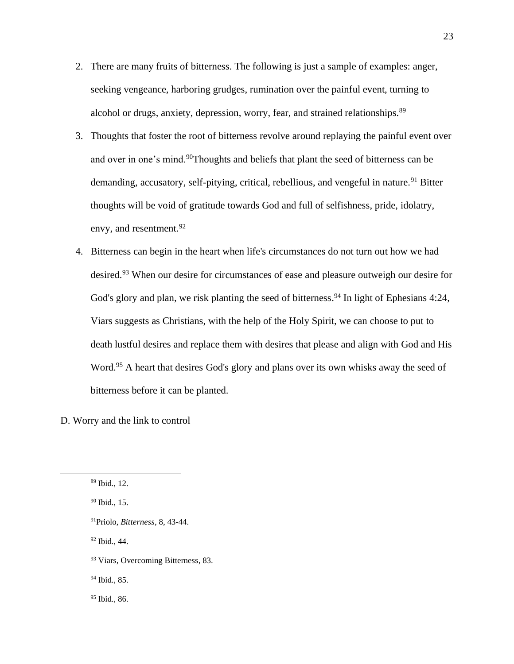- 2. There are many fruits of bitterness. The following is just a sample of examples: anger, seeking vengeance, harboring grudges, rumination over the painful event, turning to alcohol or drugs, anxiety, depression, worry, fear, and strained relationships.<sup>89</sup>
- 3. Thoughts that foster the root of bitterness revolve around replaying the painful event over and over in one's mind.<sup>90</sup>Thoughts and beliefs that plant the seed of bitterness can be demanding, accusatory, self-pitying, critical, rebellious, and vengeful in nature.<sup>91</sup> Bitter thoughts will be void of gratitude towards God and full of selfishness, pride, idolatry, envy, and resentment.<sup>92</sup>
- 4. Bitterness can begin in the heart when life's circumstances do not turn out how we had desired.<sup>93</sup> When our desire for circumstances of ease and pleasure outweigh our desire for God's glory and plan, we risk planting the seed of bitterness.<sup>94</sup> In light of Ephesians 4:24, Viars suggests as Christians, with the help of the Holy Spirit, we can choose to put to death lustful desires and replace them with desires that please and align with God and His Word.<sup>95</sup> A heart that desires God's glory and plans over its own whisks away the seed of bitterness before it can be planted.

D. Worry and the link to control

<sup>91</sup>Priolo, *Bitterness*, 8, 43-44.

<sup>92</sup> Ibid., 44.

<sup>93</sup> Viars, Overcoming Bitterness, 83.

<sup>94</sup> Ibid., 85.

<sup>95</sup> Ibid., 86.

<sup>89</sup> Ibid., 12.

<sup>90</sup> Ibid., 15.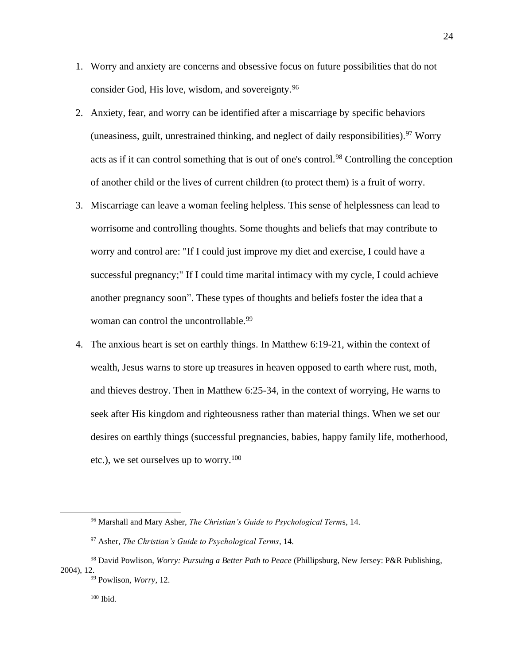- 1. Worry and anxiety are concerns and obsessive focus on future possibilities that do not consider God, His love, wisdom, and sovereignty.<sup>96</sup>
- 2. Anxiety, fear, and worry can be identified after a miscarriage by specific behaviors (uneasiness, guilt, unrestrained thinking, and neglect of daily responsibilities).  $97$  Worry acts as if it can control something that is out of one's control.<sup>98</sup> Controlling the conception of another child or the lives of current children (to protect them) is a fruit of worry.
- 3. Miscarriage can leave a woman feeling helpless. This sense of helplessness can lead to worrisome and controlling thoughts. Some thoughts and beliefs that may contribute to worry and control are: "If I could just improve my diet and exercise, I could have a successful pregnancy;" If I could time marital intimacy with my cycle, I could achieve another pregnancy soon". These types of thoughts and beliefs foster the idea that a woman can control the uncontrollable.<sup>99</sup>
- 4. The anxious heart is set on earthly things. In Matthew 6:19-21, within the context of wealth, Jesus warns to store up treasures in heaven opposed to earth where rust, moth, and thieves destroy. Then in Matthew 6:25-34, in the context of worrying, He warns to seek after His kingdom and righteousness rather than material things. When we set our desires on earthly things (successful pregnancies, babies, happy family life, motherhood, etc.), we set ourselves up to worry.<sup>100</sup>

<sup>96</sup> Marshall and Mary Asher, *The Christian's Guide to Psychological Term*s, 14.

<sup>97</sup> Asher, *The Christian's Guide to Psychological Terms*, 14.

<sup>98</sup> David Powlison, *Worry: Pursuing a Better Path to Peace* (Phillipsburg, New Jersey: P&R Publishing, 2004), 12.

<sup>99</sup> Powlison, *Worry*, 12.

<sup>100</sup> Ibid.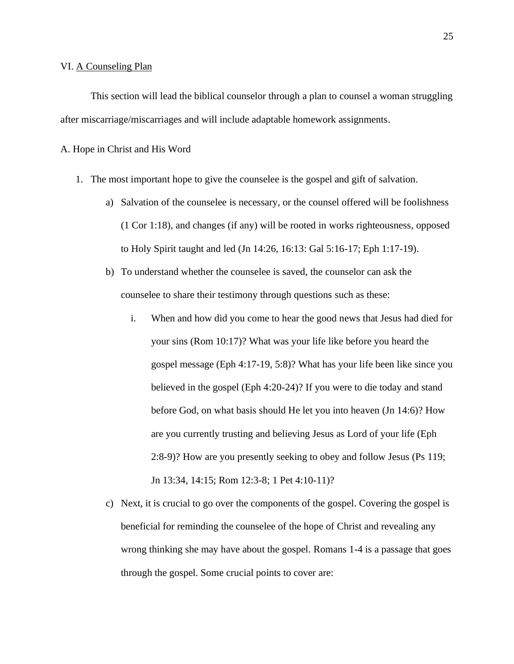#### VI. A Counseling Plan

This section will lead the biblical counselor through a plan to counsel a woman struggling after miscarriage/miscarriages and will include adaptable homework assignments.

A. Hope in Christ and His Word

- 1. The most important hope to give the counselee is the gospel and gift of salvation.
	- a) Salvation of the counselee is necessary, or the counsel offered will be foolishness (1 Cor 1:18), and changes (if any) will be rooted in works righteousness, opposed to Holy Spirit taught and led (Jn 14:26, 16:13: Gal 5:16-17; Eph 1:17-19).
	- b) To understand whether the counselee is saved, the counselor can ask the counselee to share their testimony through questions such as these:
		- i. When and how did you come to hear the good news that Jesus had died for your sins (Rom 10:17)? What was your life like before you heard the gospel message (Eph 4:17-19, 5:8)? What has your life been like since you believed in the gospel (Eph 4:20-24)? If you were to die today and stand before God, on what basis should He let you into heaven (Jn 14:6)? How are you currently trusting and believing Jesus as Lord of your life (Eph 2:8-9)? How are you presently seeking to obey and follow Jesus (Ps 119; Jn 13:34, 14:15; Rom 12:3-8; 1 Pet 4:10-11)?
	- c) Next, it is crucial to go over the components of the gospel. Covering the gospel is beneficial for reminding the counselee of the hope of Christ and revealing any wrong thinking she may have about the gospel. Romans 1-4 is a passage that goes through the gospel. Some crucial points to cover are: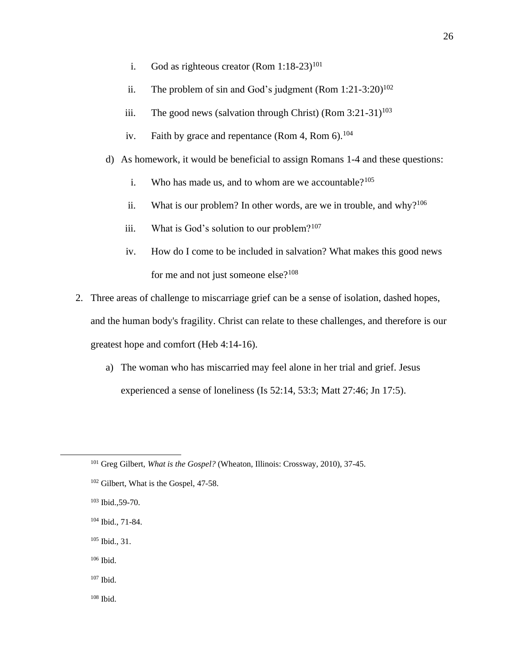- i. God as righteous creator  $(Rom 1:18-23)^{101}$
- ii. The problem of sin and God's judgment  $(Rom 1:21-3:20)^{102}$
- iii. The good news (salvation through Christ) (Rom  $3:21-31$ )<sup>103</sup>
- iv. Faith by grace and repentance (Rom 4, Rom  $6$ ).<sup>104</sup>
- d) As homework, it would be beneficial to assign Romans 1-4 and these questions:
	- i. Who has made us, and to whom are we accountable? $105$
	- ii. What is our problem? In other words, are we in trouble, and why? $106$
	- iii. What is God's solution to our problem? $107$
	- iv. How do I come to be included in salvation? What makes this good news for me and not just someone else? $108$

2. Three areas of challenge to miscarriage grief can be a sense of isolation, dashed hopes, and the human body's fragility. Christ can relate to these challenges, and therefore is our greatest hope and comfort (Heb 4:14-16).

a) The woman who has miscarried may feel alone in her trial and grief. Jesus experienced a sense of loneliness (Is 52:14, 53:3; Matt 27:46; Jn 17:5).

- <sup>104</sup> Ibid., 71-84.
- <sup>105</sup> Ibid., 31.
- <sup>106</sup> Ibid.
- <sup>107</sup> Ibid.
- $108$  Ibid.

<sup>101</sup> Greg Gilbert, *What is the Gospel?* (Wheaton, Illinois: Crossway, 2010), 37-45.

<sup>&</sup>lt;sup>102</sup> Gilbert, What is the Gospel, 47-58.

<sup>103</sup> Ibid.,59-70.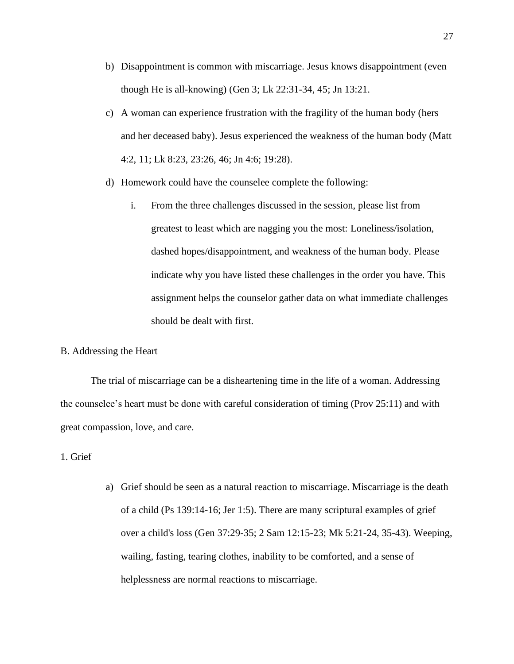- b) Disappointment is common with miscarriage. Jesus knows disappointment (even though He is all-knowing) (Gen 3; Lk 22:31-34, 45; Jn 13:21.
- c) A woman can experience frustration with the fragility of the human body (hers and her deceased baby). Jesus experienced the weakness of the human body (Matt 4:2, 11; Lk 8:23, 23:26, 46; Jn 4:6; 19:28).
- d) Homework could have the counselee complete the following:
	- i. From the three challenges discussed in the session, please list from greatest to least which are nagging you the most: Loneliness/isolation, dashed hopes/disappointment, and weakness of the human body. Please indicate why you have listed these challenges in the order you have. This assignment helps the counselor gather data on what immediate challenges should be dealt with first.

### B. Addressing the Heart

The trial of miscarriage can be a disheartening time in the life of a woman. Addressing the counselee's heart must be done with careful consideration of timing (Prov 25:11) and with great compassion, love, and care.

# 1. Grief

a) Grief should be seen as a natural reaction to miscarriage. Miscarriage is the death of a child (Ps 139:14-16; Jer 1:5). There are many scriptural examples of grief over a child's loss (Gen 37:29-35; 2 Sam 12:15-23; Mk 5:21-24, 35-43). Weeping, wailing, fasting, tearing clothes, inability to be comforted, and a sense of helplessness are normal reactions to miscarriage.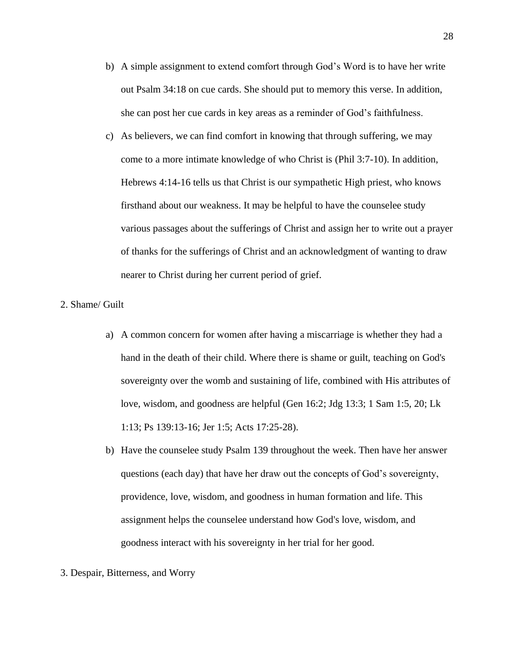- b) A simple assignment to extend comfort through God's Word is to have her write out Psalm 34:18 on cue cards. She should put to memory this verse. In addition, she can post her cue cards in key areas as a reminder of God's faithfulness.
- c) As believers, we can find comfort in knowing that through suffering, we may come to a more intimate knowledge of who Christ is (Phil 3:7-10). In addition, Hebrews 4:14-16 tells us that Christ is our sympathetic High priest, who knows firsthand about our weakness. It may be helpful to have the counselee study various passages about the sufferings of Christ and assign her to write out a prayer of thanks for the sufferings of Christ and an acknowledgment of wanting to draw nearer to Christ during her current period of grief.

# 2. Shame/ Guilt

- a) A common concern for women after having a miscarriage is whether they had a hand in the death of their child. Where there is shame or guilt, teaching on God's sovereignty over the womb and sustaining of life, combined with His attributes of love, wisdom, and goodness are helpful (Gen 16:2; Jdg 13:3; 1 Sam 1:5, 20; Lk 1:13; Ps 139:13-16; Jer 1:5; Acts 17:25-28).
- b) Have the counselee study Psalm 139 throughout the week. Then have her answer questions (each day) that have her draw out the concepts of God's sovereignty, providence, love, wisdom, and goodness in human formation and life. This assignment helps the counselee understand how God's love, wisdom, and goodness interact with his sovereignty in her trial for her good.
- 3. Despair, Bitterness, and Worry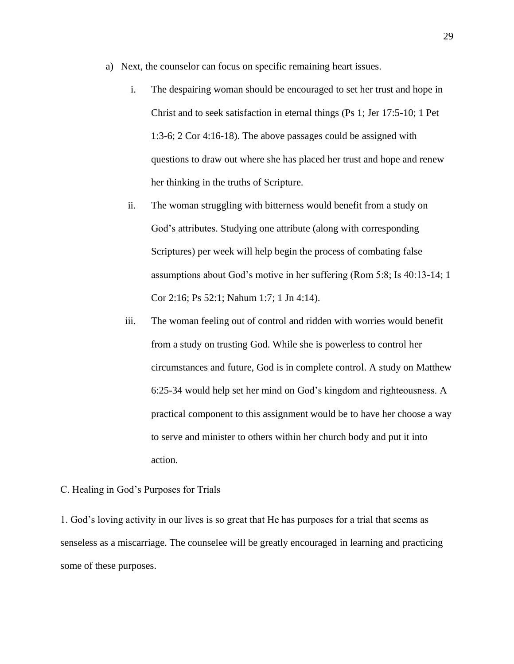- a) Next, the counselor can focus on specific remaining heart issues.
	- i. The despairing woman should be encouraged to set her trust and hope in Christ and to seek satisfaction in eternal things (Ps 1; Jer 17:5-10; 1 Pet 1:3-6; 2 Cor 4:16-18). The above passages could be assigned with questions to draw out where she has placed her trust and hope and renew her thinking in the truths of Scripture.
	- ii. The woman struggling with bitterness would benefit from a study on God's attributes. Studying one attribute (along with corresponding Scriptures) per week will help begin the process of combating false assumptions about God's motive in her suffering (Rom 5:8; Is 40:13-14; 1 Cor 2:16; Ps 52:1; Nahum 1:7; 1 Jn 4:14).
	- iii. The woman feeling out of control and ridden with worries would benefit from a study on trusting God. While she is powerless to control her circumstances and future, God is in complete control. A study on Matthew 6:25-34 would help set her mind on God's kingdom and righteousness. A practical component to this assignment would be to have her choose a way to serve and minister to others within her church body and put it into action.
- C. Healing in God's Purposes for Trials

1. God's loving activity in our lives is so great that He has purposes for a trial that seems as senseless as a miscarriage. The counselee will be greatly encouraged in learning and practicing some of these purposes.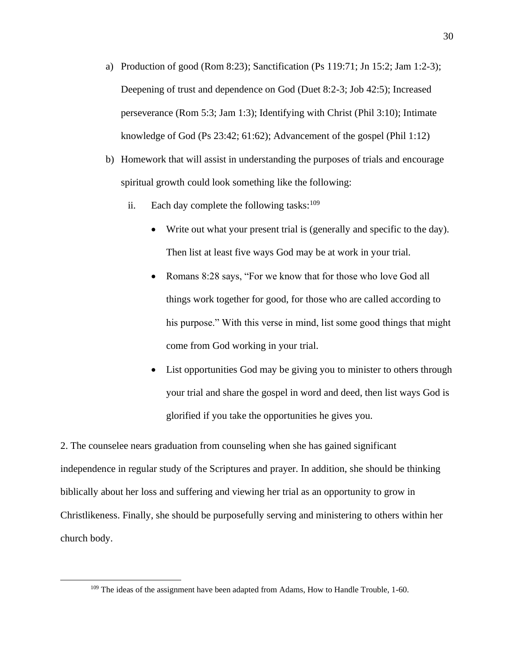- a) Production of good (Rom 8:23); Sanctification (Ps 119:71; Jn 15:2; Jam 1:2-3); Deepening of trust and dependence on God (Duet 8:2-3; Job 42:5); Increased perseverance (Rom 5:3; Jam 1:3); Identifying with Christ (Phil 3:10); Intimate knowledge of God (Ps 23:42; 61:62); Advancement of the gospel (Phil 1:12)
- b) Homework that will assist in understanding the purposes of trials and encourage spiritual growth could look something like the following:
	- ii. Each day complete the following tasks: $109$ 
		- Write out what your present trial is (generally and specific to the day). Then list at least five ways God may be at work in your trial.
		- Romans 8:28 says, "For we know that for those who love God all things work together for good, for those who are called according to his purpose." With this verse in mind, list some good things that might come from God working in your trial.
		- List opportunities God may be giving you to minister to others through your trial and share the gospel in word and deed, then list ways God is glorified if you take the opportunities he gives you.

2. The counselee nears graduation from counseling when she has gained significant independence in regular study of the Scriptures and prayer. In addition, she should be thinking biblically about her loss and suffering and viewing her trial as an opportunity to grow in Christlikeness. Finally, she should be purposefully serving and ministering to others within her church body.

<sup>&</sup>lt;sup>109</sup> The ideas of the assignment have been adapted from Adams, How to Handle Trouble, 1-60.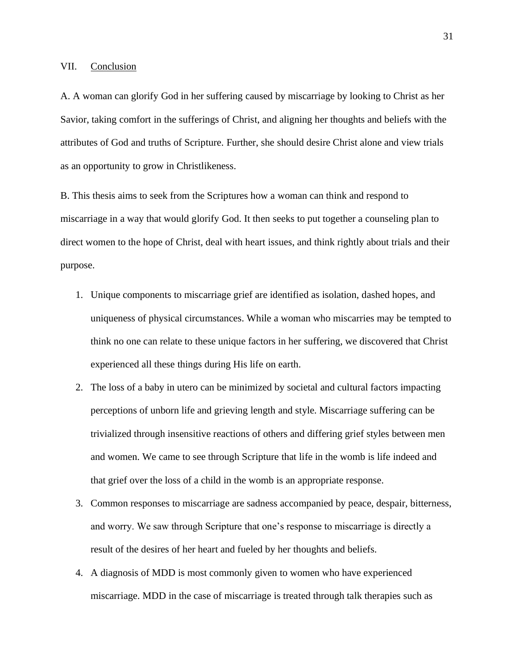### VII. Conclusion

A. A woman can glorify God in her suffering caused by miscarriage by looking to Christ as her Savior, taking comfort in the sufferings of Christ, and aligning her thoughts and beliefs with the attributes of God and truths of Scripture. Further, she should desire Christ alone and view trials as an opportunity to grow in Christlikeness.

B. This thesis aims to seek from the Scriptures how a woman can think and respond to miscarriage in a way that would glorify God. It then seeks to put together a counseling plan to direct women to the hope of Christ, deal with heart issues, and think rightly about trials and their purpose.

- 1. Unique components to miscarriage grief are identified as isolation, dashed hopes, and uniqueness of physical circumstances. While a woman who miscarries may be tempted to think no one can relate to these unique factors in her suffering, we discovered that Christ experienced all these things during His life on earth.
- 2. The loss of a baby in utero can be minimized by societal and cultural factors impacting perceptions of unborn life and grieving length and style. Miscarriage suffering can be trivialized through insensitive reactions of others and differing grief styles between men and women. We came to see through Scripture that life in the womb is life indeed and that grief over the loss of a child in the womb is an appropriate response.
- 3. Common responses to miscarriage are sadness accompanied by peace, despair, bitterness, and worry. We saw through Scripture that one's response to miscarriage is directly a result of the desires of her heart and fueled by her thoughts and beliefs.
- 4. A diagnosis of MDD is most commonly given to women who have experienced miscarriage. MDD in the case of miscarriage is treated through talk therapies such as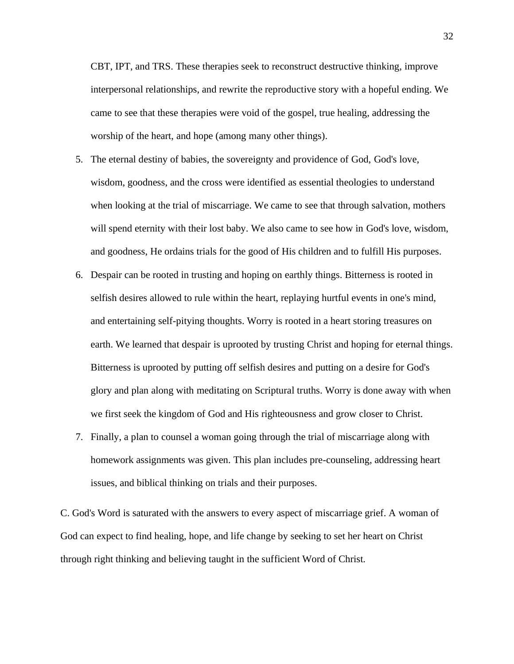CBT, IPT, and TRS. These therapies seek to reconstruct destructive thinking, improve interpersonal relationships, and rewrite the reproductive story with a hopeful ending. We came to see that these therapies were void of the gospel, true healing, addressing the worship of the heart, and hope (among many other things).

- 5. The eternal destiny of babies, the sovereignty and providence of God, God's love, wisdom, goodness, and the cross were identified as essential theologies to understand when looking at the trial of miscarriage. We came to see that through salvation, mothers will spend eternity with their lost baby. We also came to see how in God's love, wisdom, and goodness, He ordains trials for the good of His children and to fulfill His purposes.
- 6. Despair can be rooted in trusting and hoping on earthly things. Bitterness is rooted in selfish desires allowed to rule within the heart, replaying hurtful events in one's mind, and entertaining self-pitying thoughts. Worry is rooted in a heart storing treasures on earth. We learned that despair is uprooted by trusting Christ and hoping for eternal things. Bitterness is uprooted by putting off selfish desires and putting on a desire for God's glory and plan along with meditating on Scriptural truths. Worry is done away with when we first seek the kingdom of God and His righteousness and grow closer to Christ.
- 7. Finally, a plan to counsel a woman going through the trial of miscarriage along with homework assignments was given. This plan includes pre-counseling, addressing heart issues, and biblical thinking on trials and their purposes.

C. God's Word is saturated with the answers to every aspect of miscarriage grief. A woman of God can expect to find healing, hope, and life change by seeking to set her heart on Christ through right thinking and believing taught in the sufficient Word of Christ.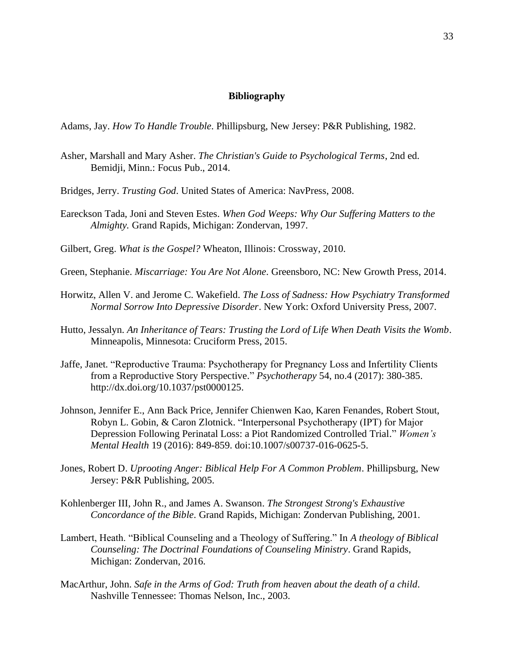## **Bibliography**

Adams, Jay. *How To Handle Trouble*. Phillipsburg, New Jersey: P&R Publishing, 1982.

- Asher, Marshall and Mary Asher. *The Christian's Guide to Psychological Terms*, 2nd ed. Bemidji, Minn.: Focus Pub., 2014.
- Bridges, Jerry. *Trusting God*. United States of America: NavPress, 2008.
- Eareckson Tada, Joni and Steven Estes. *When God Weeps: Why Our Suffering Matters to the Almighty.* Grand Rapids, Michigan: Zondervan, 1997.
- Gilbert, Greg. *What is the Gospel?* Wheaton, Illinois: Crossway, 2010.
- Green, Stephanie. *Miscarriage: You Are Not Alone*. Greensboro, NC: New Growth Press, 2014.
- Horwitz, Allen V. and Jerome C. Wakefield. *The Loss of Sadness: How Psychiatry Transformed Normal Sorrow Into Depressive Disorder*. New York: Oxford University Press, 2007.
- Hutto, Jessalyn. *An Inheritance of Tears: Trusting the Lord of Life When Death Visits the Womb*. Minneapolis, Minnesota: Cruciform Press, 2015.
- Jaffe, Janet. "Reproductive Trauma: Psychotherapy for Pregnancy Loss and Infertility Clients from a Reproductive Story Perspective." *Psychotherapy* 54, no.4 (2017): 380-385. http://dx.doi.org/10.1037/pst0000125.
- Johnson, Jennifer E., Ann Back Price, Jennifer Chienwen Kao, Karen Fenandes, Robert Stout, Robyn L. Gobin, & Caron Zlotnick. "Interpersonal Psychotherapy (IPT) for Major Depression Following Perinatal Loss: a Piot Randomized Controlled Trial." *Women's Mental Health* 19 (2016): 849-859. doi:10.1007/s00737-016-0625-5.
- Jones, Robert D. *Uprooting Anger: Biblical Help For A Common Problem*. Phillipsburg, New Jersey: P&R Publishing, 2005.
- Kohlenberger III, John R., and James A. Swanson. *The Strongest Strong's Exhaustive Concordance of the Bible*. Grand Rapids, Michigan: Zondervan Publishing, 2001.
- Lambert, Heath. "Biblical Counseling and a Theology of Suffering." In *A theology of Biblical Counseling: The Doctrinal Foundations of Counseling Ministry*. Grand Rapids, Michigan: Zondervan, 2016.
- MacArthur, John. *Safe in the Arms of God: Truth from heaven about the death of a child*. Nashville Tennessee: Thomas Nelson, Inc., 2003.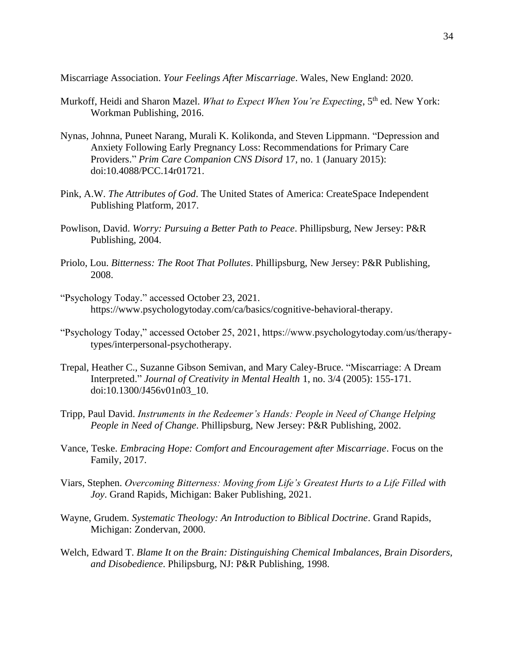Miscarriage Association. *Your Feelings After Miscarriage*. Wales, New England: 2020.

- Murkoff, Heidi and Sharon Mazel. *What to Expect When You're Expecting*, 5<sup>th</sup> ed. New York: Workman Publishing, 2016.
- Nynas, Johnna, Puneet Narang, Murali K. Kolikonda, and Steven Lippmann. "Depression and Anxiety Following Early Pregnancy Loss: Recommendations for Primary Care Providers." *Prim Care Companion CNS Disord* 17, no. 1 (January 2015): doi:10.4088/PCC.14r01721.
- Pink, A.W. *The Attributes of God*. The United States of America: CreateSpace Independent Publishing Platform, 2017.
- Powlison, David. *Worry: Pursuing a Better Path to Peace*. Phillipsburg, New Jersey: P&R Publishing, 2004.
- Priolo, Lou. *Bitterness: The Root That Pollutes*. Phillipsburg, New Jersey: P&R Publishing, 2008.
- "Psychology Today." accessed October 23, 2021. https://www.psychologytoday.com/ca/basics/cognitive-behavioral-therapy.
- "Psychology Today," accessed October 25, 2021, https://www.psychologytoday.com/us/therapytypes/interpersonal-psychotherapy.
- Trepal, Heather C., Suzanne Gibson Semivan, and Mary Caley-Bruce. "Miscarriage: A Dream Interpreted." *Journal of Creativity in Mental Health* 1, no. 3/4 (2005): 155-171. doi:10.1300/J456v01n03\_10.
- Tripp, Paul David. *Instruments in the Redeemer's Hands: People in Need of Change Helping People in Need of Change*. Phillipsburg, New Jersey: P&R Publishing, 2002.
- Vance, Teske. *Embracing Hope: Comfort and Encouragement after Miscarriage*. Focus on the Family, 2017.
- Viars, Stephen. *Overcoming Bitterness: Moving from Life's Greatest Hurts to a Life Filled with Joy*. Grand Rapids, Michigan: Baker Publishing, 2021.
- Wayne, Grudem. *Systematic Theology: An Introduction to Biblical Doctrine*. Grand Rapids, Michigan: Zondervan, 2000.
- Welch, Edward T. *Blame It on the Brain: Distinguishing Chemical Imbalances, Brain Disorders, and Disobedience*. Philipsburg, NJ: P&R Publishing, 1998.